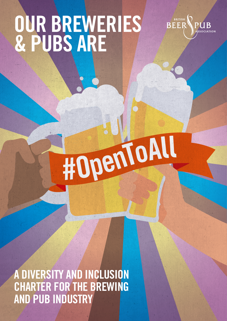# **OUR BREWERIES & PUBS ARE**



HOpentoAll

**A DIVERSITY AND INCLUSION CHARTER FOR THE BREWING AND PUB INDUSTRY**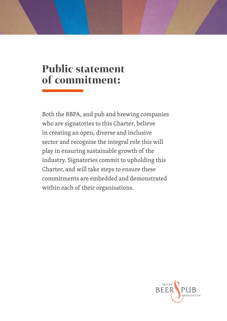### **Public statement of commitment:**

Both the BBPA, and pub and brewing companies who are signatories to this Charter, believe in creating an open, diverse and inclusive sector and recognise the integral role this will play in ensuring sustainable growth of the industry. Signatories commit to upholding this Charter, and will take steps to ensure these commitments are embedded and demonstrated within each of their organisations.

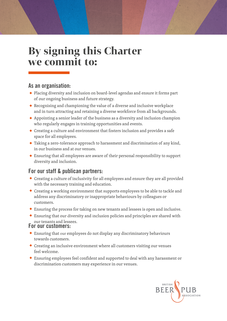## **By signing this Charter we commit to:**

#### **As an organisation:**

- ◆Placing diversity and inclusion on board-level agendas and ensure it forms part of our ongoing business and future strategy.
- ◆Recognising and championing the value of a diverse and inclusive workplace and in turn attracting and retaining a diverse workforce from all backgrounds.
- ◆Appointing a senior leader of the business as a diversity and inclusion champion who regularly engages in training opportunities and events.
- ◆Creating a culture and environment that fosters inclusion and provides a safe space for all employees.
- ◆Taking a zero-tolerance approach to harassment and discrimination of any kind, in our business and at our venues.
- ◆Ensuring that all employees are aware of their personal responsibility to support diversity and inclusion.

#### **For our staff & publican partners:**

- ◆Creating a culture of inclusivity for all employees and ensure they are all provided with the necessary training and education.
- ◆Creating a working environment that supports employees to be able to tackle and address any discriminatory or inappropriate behaviours by colleagues or customers.
- ◆Ensuring the process for taking on new tenants and lessees is open and inclusive.
- ◆Ensuring that our diversity and inclusion policies and principles are shared with our tenants and lessees.

#### **For our customers:**

- ◆Ensuring that our employees do not display any discriminatory behaviours towards customers.
- ◆Creating an inclusive environment where all customers visiting our venues feel welcome.
- ◆Ensuring employees feel confident and supported to deal with any harassment or discrimination customers may experience in our venues.